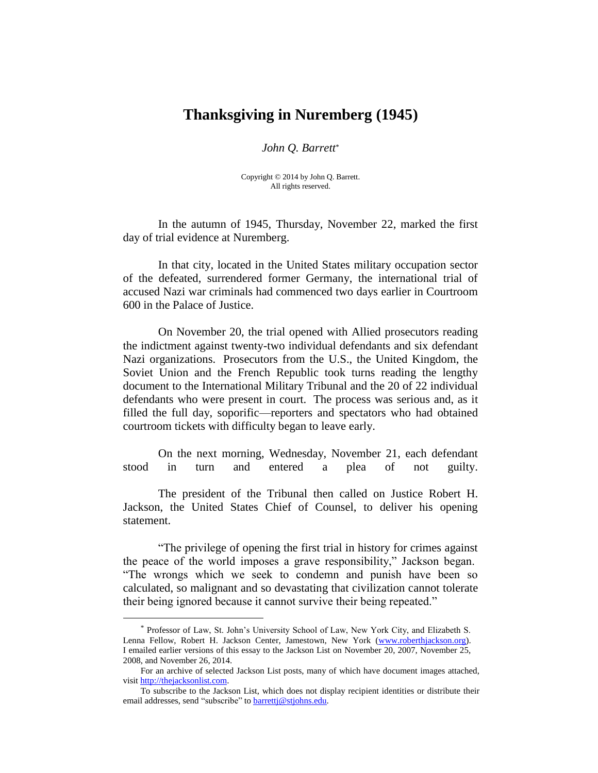## **Thanksgiving in Nuremberg (1945)**

## *John Q. Barrett*\*

Copyright © 2014 by John Q. Barrett. All rights reserved.

In the autumn of 1945, Thursday, November 22, marked the first day of trial evidence at Nuremberg.

In that city, located in the United States military occupation sector of the defeated, surrendered former Germany, the international trial of accused Nazi war criminals had commenced two days earlier in Courtroom 600 in the Palace of Justice.

On November 20, the trial opened with Allied prosecutors reading the indictment against twenty-two individual defendants and six defendant Nazi organizations. Prosecutors from the U.S., the United Kingdom, the Soviet Union and the French Republic took turns reading the lengthy document to the International Military Tribunal and the 20 of 22 individual defendants who were present in court. The process was serious and, as it filled the full day, soporific—reporters and spectators who had obtained courtroom tickets with difficulty began to leave early.

On the next morning, Wednesday, November 21, each defendant stood in turn and entered a plea of not guilty.

The president of the Tribunal then called on Justice Robert H. Jackson, the United States Chief of Counsel, to deliver his opening statement.

"The privilege of opening the first trial in history for crimes against the peace of the world imposes a grave responsibility," Jackson began. "The wrongs which we seek to condemn and punish have been so calculated, so malignant and so devastating that civilization cannot tolerate their being ignored because it cannot survive their being repeated."

 $\overline{a}$ 

<sup>\*</sup> Professor of Law, St. John's University School of Law, New York City, and Elizabeth S. Lenna Fellow, Robert H. Jackson Center, Jamestown, New York [\(www.roberthjackson.org\)](http://www.roberthjackson.org/). I emailed earlier versions of this essay to the Jackson List on November 20, 2007, November 25, 2008, and November 26, 2014.

For an archive of selected Jackson List posts, many of which have document images attached, visit [http://thejacksonlist.com.](http://thejacksonlist.com/)

To subscribe to the Jackson List, which does not display recipient identities or distribute their email addresses, send "subscribe" to barretti@stjohns.edu.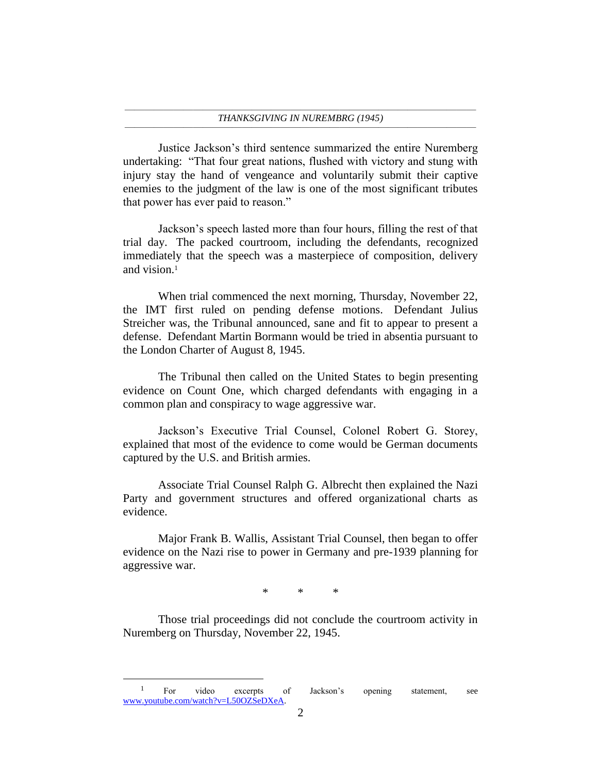Justice Jackson's third sentence summarized the entire Nuremberg undertaking: "That four great nations, flushed with victory and stung with injury stay the hand of vengeance and voluntarily submit their captive enemies to the judgment of the law is one of the most significant tributes that power has ever paid to reason."

Jackson's speech lasted more than four hours, filling the rest of that trial day. The packed courtroom, including the defendants, recognized immediately that the speech was a masterpiece of composition, delivery and vision.<sup>1</sup>

When trial commenced the next morning, Thursday, November 22, the IMT first ruled on pending defense motions. Defendant Julius Streicher was, the Tribunal announced, sane and fit to appear to present a defense. Defendant Martin Bormann would be tried in absentia pursuant to the London Charter of August 8, 1945.

The Tribunal then called on the United States to begin presenting evidence on Count One, which charged defendants with engaging in a common plan and conspiracy to wage aggressive war.

Jackson's Executive Trial Counsel, Colonel Robert G. Storey, explained that most of the evidence to come would be German documents captured by the U.S. and British armies.

Associate Trial Counsel Ralph G. Albrecht then explained the Nazi Party and government structures and offered organizational charts as evidence.

Major Frank B. Wallis, Assistant Trial Counsel, then began to offer evidence on the Nazi rise to power in Germany and pre-1939 planning for aggressive war.

\* \* \*

Those trial proceedings did not conclude the courtroom activity in Nuremberg on Thursday, November 22, 1945.

 $\overline{a}$ 

<sup>&</sup>lt;sup>1</sup> For video excerpts of Jackson's opening statement, see [www.youtube.com/watch?v=L50OZSeDXeA.](http://www.youtube.com/watch?v=L50OZSeDXeA)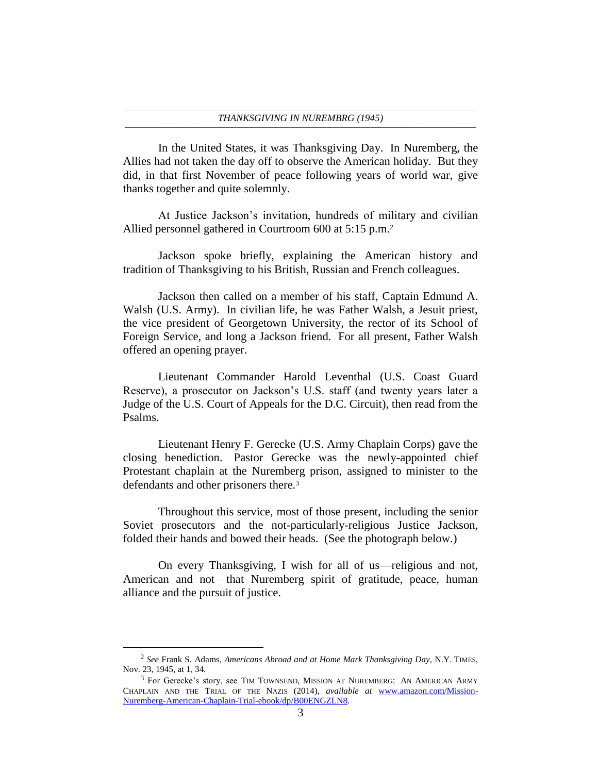In the United States, it was Thanksgiving Day. In Nuremberg, the Allies had not taken the day off to observe the American holiday. But they did, in that first November of peace following years of world war, give thanks together and quite solemnly.

At Justice Jackson's invitation, hundreds of military and civilian Allied personnel gathered in Courtroom 600 at 5:15 p.m.<sup>2</sup>

Jackson spoke briefly, explaining the American history and tradition of Thanksgiving to his British, Russian and French colleagues.

Jackson then called on a member of his staff, Captain Edmund A. Walsh (U.S. Army). In civilian life, he was Father Walsh, a Jesuit priest, the vice president of Georgetown University, the rector of its School of Foreign Service, and long a Jackson friend. For all present, Father Walsh offered an opening prayer.

Lieutenant Commander Harold Leventhal (U.S. Coast Guard Reserve), a prosecutor on Jackson's U.S. staff (and twenty years later a Judge of the U.S. Court of Appeals for the D.C. Circuit), then read from the Psalms.

Lieutenant Henry F. Gerecke (U.S. Army Chaplain Corps) gave the closing benediction. Pastor Gerecke was the newly-appointed chief Protestant chaplain at the Nuremberg prison, assigned to minister to the defendants and other prisoners there.<sup>3</sup>

Throughout this service, most of those present, including the senior Soviet prosecutors and the not-particularly-religious Justice Jackson, folded their hands and bowed their heads. (See the photograph below.)

On every Thanksgiving, I wish for all of us—religious and not, American and not—that Nuremberg spirit of gratitude, peace, human alliance and the pursuit of justice.

 $\overline{a}$ 

<sup>2</sup> *See* Frank S. Adams, *Americans Abroad and at Home Mark Thanksgiving Day*, N.Y. TIMES, Nov. 23, 1945, at 1, 34.

<sup>3</sup> For Gerecke's story, see TIM TOWNSEND, MISSION AT NUREMBERG: AN AMERICAN ARMY CHAPLAIN AND THE TRIAL OF THE NAZIS (2014), *available at* [www.amazon.com/Mission-](http://www.amazon.com/Mission-Nuremberg-American-Chaplain-Trial-ebook/dp/B00ENGZLN8)[Nuremberg-American-Chaplain-Trial-ebook/dp/B00ENGZLN8.](http://www.amazon.com/Mission-Nuremberg-American-Chaplain-Trial-ebook/dp/B00ENGZLN8)